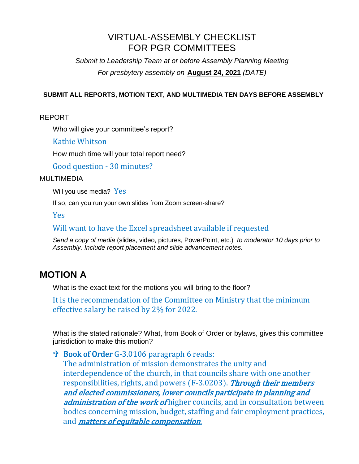## VIRTUAL-ASSEMBLY CHECKLIST FOR PGR COMMITTEES

*Submit to Leadership Team at or before Assembly Planning Meeting For presbytery assembly on* **August 24, 2021** *(DATE)*

#### **SUBMIT ALL REPORTS, MOTION TEXT, AND MULTIMEDIA TEN DAYS BEFORE ASSEMBLY**

REPORT

Who will give your committee's report?

Kathie Whitson

How much time will your total report need?

Good question - 30 minutes?

#### MULTIMEDIA

Will you use media? Yes

If so, can you run your own slides from Zoom screen-share?

Yes

Will want to have the Excel spreadsheet available if requested

*Send a copy of media* (slides, video, pictures, PowerPoint, etc.) *to moderator 10 days prior to Assembly. Include report placement and slide advancement notes.*

## **MOTION A**

What is the exact text for the motions you will bring to the floor?

It is the recommendation of the Committee on Ministry that the minimum effective salary be raised by 2% for 2022.

What is the stated rationale? What, from Book of Order or bylaws, gives this committee jurisdiction to make this motion?

 Book of Order G-3.0106 paragraph 6 reads: The administration of mission demonstrates the unity and interdependence of the church, in that councils share with one another responsibilities, rights, and powers (F-3.0203). Through their members and elected commissioners, lower councils participate in planning and administration of the work of higher councils, and in consultation between bodies concerning mission, budget, staffing and fair employment practices, and *matters of equitable compensation*.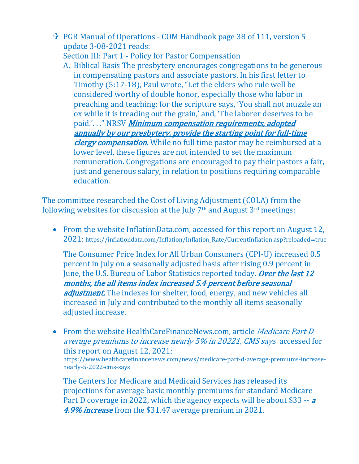PGR Manual of Operations - COM Handbook page 38 of 111, version 5 update 3-08-2021 reads:

Section III: Part 1 - Policy for Pastor Compensation

A. Biblical Basis The presbytery encourages congregations to be generous in compensating pastors and associate pastors. In his first letter to Timothy (5:17-18), Paul wrote, "Let the elders who rule well be considered worthy of double honor, especially those who labor in preaching and teaching; for the scripture says, 'You shall not muzzle an ox while it is treading out the grain,' and, 'The laborer deserves to be paid.'..." NRSV Minimum compensation requirements, adopted annually by our presbytery, provide the starting point for full-time clergy compensation. While no full time pastor may be reimbursed at a lower level, these figures are not intended to set the maximum remuneration. Congregations are encouraged to pay their pastors a fair, just and generous salary, in relation to positions requiring comparable education.

The committee researched the Cost of Living Adjustment (COLA) from the following websites for discussion at the July  $7<sup>th</sup>$  and August  $3<sup>rd</sup>$  meetings:

• From the website InflationData.com, accessed for this report on August 12, 2021: https://inflationdata.com/Inflation/Inflation\_Rate/CurrentInflation.asp?reloaded=true

The Consumer Price Index for All Urban Consumers (CPI-U) increased 0.5 percent in July on a seasonally adjusted basis after rising 0.9 percent in June, the U.S. Bureau of Labor Statistics reported today. Over the last 12 months, the all items index increased 5.4 percent before seasonal adjustment. The indexes for shelter, food, energy, and new vehicles all increased in July and contributed to the monthly all items seasonally adjusted increase.

• From the website HealthCareFinanceNews.com, article *Medicare Part D* average premiums to increase nearly 5% in 20221, CMS says accessed for this report on August 12, 2021: https://www.healthcarefinancenews.com/news/medicare-part-d-average-premiums-increasenearly-5-2022-cms-says

The Centers for Medicare and Medicaid Services has released its projections for average basic monthly premiums for standard Medicare Part D coverage in 2022, which the agency expects will be about \$33 -- <sup>a</sup> 4.9% *increase* from the \$31.47 average premium in 2021.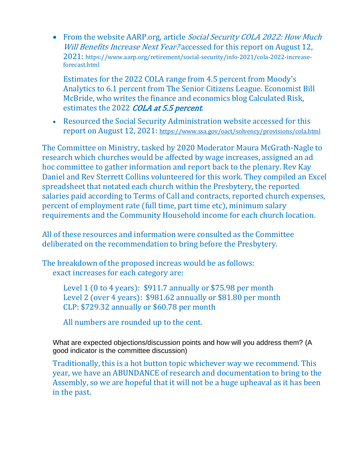• From the website AARP.org, article Social Security COLA 2022: How Much Will Benefits Increase Next Year? accessed for this report on August 12, 2021: https://www.aarp.org/retirement/social-security/info-2021/cola-2022-increaseforecast.html

Estimates for the 2022 COLA range from 4.5 percent from Moody's Analytics to 6.1 percent from The Senior Citizens League. Economist Bill McBride, who writes the finance and economics blog Calculated Risk, estimates the 2022 COLA at 5.5 percent.

• Resourced the Social Security Administration website accessed for this report on August 12, 2021: <https://www.ssa.gov/oact/solvency/provisions/cola.html>

The Committee on Ministry, tasked by 2020 Moderator Maura McGrath-Nagle to research which churches would be affected by wage increases, assigned an ad hoc committee to gather information and report back to the plenary. Rev Kay Daniel and Rev Sterrett Collins volunteered for this work. They compiled an Excel spreadsheet that notated each church within the Presbytery, the reported salaries paid according to Terms of Call and contracts, reported church expenses, percent of employment rate (full time, part time etc), minimum salary requirements and the Community Household income for each church location.

All of these resources and information were consulted as the Committee deliberated on the recommendation to bring before the Presbytery.

The breakdown of the proposed increas would be as follows: exact increases for each category are:

> Level 1 (0 to 4 years): \$911.7 annually or \$75.98 per month Level 2 (over 4 years): \$981.62 annually or \$81.80 per month CLP: \$729.32 annually or \$60.78 per month

All numbers are rounded up to the cent.

What are expected objections/discussion points and how will you address them? (A good indicator is the committee discussion)

Traditionally, this is a hot button topic whichever way we recommend. This year, we have an ABUNDANCE of research and documentation to bring to the Assembly, so we are hopeful that it will not be a huge upheaval as it has been in the past.